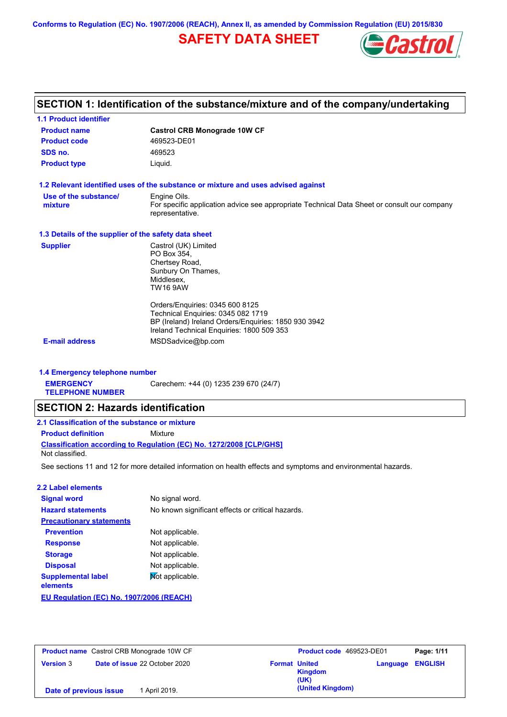**Conforms to Regulation (EC) No. 1907/2006 (REACH), Annex II, as amended by Commission Regulation (EU) 2015/830**

# **SAFETY DATA SHEET**



# **SECTION 1: Identification of the substance/mixture and of the company/undertaking**

| <b>1.1 Product identifier</b>                        |                                                                                                                                                                            |
|------------------------------------------------------|----------------------------------------------------------------------------------------------------------------------------------------------------------------------------|
| <b>Product name</b>                                  | <b>Castrol CRB Monograde 10W CF</b>                                                                                                                                        |
| <b>Product code</b>                                  | 469523-DE01                                                                                                                                                                |
| SDS no.                                              | 469523                                                                                                                                                                     |
| <b>Product type</b>                                  | Liquid.                                                                                                                                                                    |
|                                                      | 1.2 Relevant identified uses of the substance or mixture and uses advised against                                                                                          |
| Use of the substance/                                | Engine Oils.                                                                                                                                                               |
| mixture                                              | For specific application advice see appropriate Technical Data Sheet or consult our company<br>representative.                                                             |
| 1.3 Details of the supplier of the safety data sheet |                                                                                                                                                                            |
| <b>Supplier</b>                                      | Castrol (UK) Limited<br>PO Box 354,<br>Chertsey Road,<br>Sunbury On Thames,<br>Middlesex.<br><b>TW16 9AW</b>                                                               |
|                                                      | Orders/Enquiries: 0345 600 8125<br>Technical Enquiries: 0345 082 1719<br>BP (Ireland) Ireland Orders/Enquiries: 1850 930 3942<br>Ireland Technical Enquiries: 1800 509 353 |
| <b>E-mail address</b>                                | MSDSadvice@bp.com                                                                                                                                                          |

## **1.4 Emergency telephone number**

**EMERGENCY**  Carechem: +44 (0) 1235 239 670 (24/7)

**TELEPHONE NUMBER**

## **SECTION 2: Hazards identification**

| 2.1 Classification of the substance or mixture |                                                                     |  |  |  |
|------------------------------------------------|---------------------------------------------------------------------|--|--|--|
| <b>Product definition</b>                      | Mixture                                                             |  |  |  |
|                                                | Classification according to Regulation (EC) No. 1272/2008 [CLP/GHS] |  |  |  |
| Not classified.                                |                                                                     |  |  |  |

See sections 11 and 12 for more detailed information on health effects and symptoms and environmental hazards.

#### **2.2 Label elements**

| <b>Signal word</b>                       | No signal word.                                   |
|------------------------------------------|---------------------------------------------------|
| <b>Hazard statements</b>                 | No known significant effects or critical hazards. |
| <b>Precautionary statements</b>          |                                                   |
| <b>Prevention</b>                        | Not applicable.                                   |
| <b>Response</b>                          | Not applicable.                                   |
| <b>Storage</b>                           | Not applicable.                                   |
| <b>Disposal</b>                          | Not applicable.                                   |
| <b>Supplemental label</b><br>elements    | Not applicable.                                   |
| EU Regulation (EC) No. 1907/2006 (REACH) |                                                   |

| <b>Product name</b> Castrol CRB Monograde 10W CF |                                      | Product code 469523-DE01<br>Page: 1/11                                       |  |
|--------------------------------------------------|--------------------------------------|------------------------------------------------------------------------------|--|
| <b>Version 3</b>                                 | <b>Date of issue 22 October 2020</b> | <b>Format United</b><br><b>ENGLISH</b><br>Language<br><b>Kingdom</b><br>(UK) |  |
| Date of previous issue                           | 1 April 2019.                        | (United Kingdom)                                                             |  |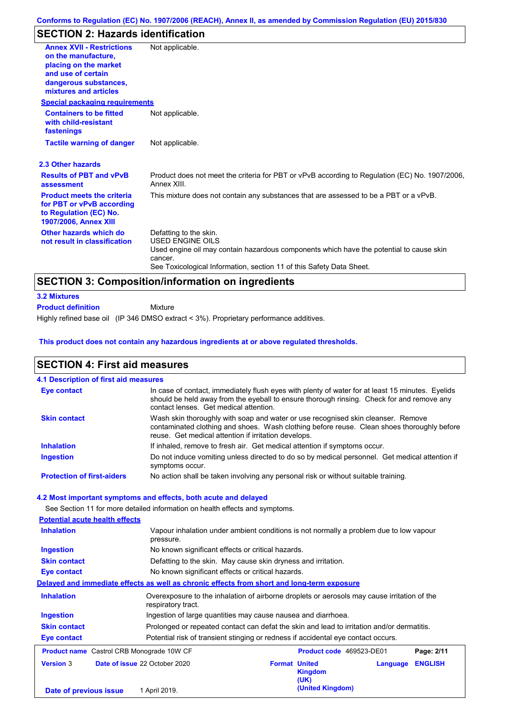# **SECTION 2: Hazards identification**

| <b>Annex XVII - Restrictions</b>                                                                                         | Not applicable.                                                                                               |
|--------------------------------------------------------------------------------------------------------------------------|---------------------------------------------------------------------------------------------------------------|
| on the manufacture.                                                                                                      |                                                                                                               |
| placing on the market                                                                                                    |                                                                                                               |
| and use of certain                                                                                                       |                                                                                                               |
| dangerous substances,                                                                                                    |                                                                                                               |
| mixtures and articles                                                                                                    |                                                                                                               |
| <b>Special packaging requirements</b>                                                                                    |                                                                                                               |
| <b>Containers to be fitted</b><br>with child-resistant<br>fastenings                                                     | Not applicable.                                                                                               |
| <b>Tactile warning of danger</b>                                                                                         | Not applicable.                                                                                               |
| 2.3 Other hazards                                                                                                        |                                                                                                               |
| <b>Results of PBT and vPvB</b><br>assessment                                                                             | Product does not meet the criteria for PBT or vPvB according to Regulation (EC) No. 1907/2006,<br>Annex XIII. |
| <b>Product meets the criteria</b><br>for PBT or vPvB according<br>to Regulation (EC) No.<br><b>1907/2006, Annex XIII</b> | This mixture does not contain any substances that are assessed to be a PBT or a vPvB.                         |
| Other hazards which do                                                                                                   | Defatting to the skin.                                                                                        |
| not result in classification                                                                                             | <b>USED ENGINE OILS</b>                                                                                       |
|                                                                                                                          | Used engine oil may contain hazardous components which have the potential to cause skin                       |
|                                                                                                                          | cancer.                                                                                                       |
|                                                                                                                          | See Toxicological Information, section 11 of this Safety Data Sheet.                                          |
|                                                                                                                          | <b>SECTION 3: Composition/information on ingredients</b>                                                      |
| <b>3.2 Mixtures</b>                                                                                                      |                                                                                                               |

Highly refined base oil (IP 346 DMSO extract < 3%). Proprietary performance additives. Mixture **Product definition**

## **This product does not contain any hazardous ingredients at or above regulated thresholds.**

| <b>SECTION 4: First aid measures</b>      |                                                                                                                                                                                                                                         |  |  |  |  |
|-------------------------------------------|-----------------------------------------------------------------------------------------------------------------------------------------------------------------------------------------------------------------------------------------|--|--|--|--|
| 4.1 Description of first aid measures     |                                                                                                                                                                                                                                         |  |  |  |  |
| <b>Eye contact</b>                        | In case of contact, immediately flush eyes with plenty of water for at least 15 minutes. Eyelids<br>should be held away from the eyeball to ensure thorough rinsing. Check for and remove any<br>contact lenses. Get medical attention. |  |  |  |  |
| <b>Skin contact</b>                       | Wash skin thoroughly with soap and water or use recognised skin cleanser. Remove<br>contaminated clothing and shoes. Wash clothing before reuse. Clean shoes thoroughly before<br>reuse. Get medical attention if irritation develops.  |  |  |  |  |
| <b>Inhalation</b>                         | If inhaled, remove to fresh air. Get medical attention if symptoms occur.                                                                                                                                                               |  |  |  |  |
| <b>Ingestion</b>                          | Do not induce vomiting unless directed to do so by medical personnel. Get medical attention if<br>symptoms occur.                                                                                                                       |  |  |  |  |
| <b>Protection of first-aiders</b>         | No action shall be taken involving any personal risk or without suitable training.                                                                                                                                                      |  |  |  |  |
|                                           | 4.2 Most important symptoms and effects, both acute and delayed                                                                                                                                                                         |  |  |  |  |
|                                           | See Section 11 for more detailed information on health effects and symptoms.                                                                                                                                                            |  |  |  |  |
| <b>Potential acute health effects</b>     |                                                                                                                                                                                                                                         |  |  |  |  |
| <b>Inhalation</b>                         | Vapour inhalation under ambient conditions is not normally a problem due to low vapour<br>pressure.                                                                                                                                     |  |  |  |  |
| <b>Ingestion</b>                          | No known significant effects or critical hazards.                                                                                                                                                                                       |  |  |  |  |
| <b>Skin contact</b>                       | Defatting to the skin. May cause skin dryness and irritation.                                                                                                                                                                           |  |  |  |  |
| <b>Eye contact</b>                        | No known significant effects or critical hazards.                                                                                                                                                                                       |  |  |  |  |
|                                           | Delayed and immediate effects as well as chronic effects from short and long-term exposure                                                                                                                                              |  |  |  |  |
| <b>Inhalation</b>                         | Overexposure to the inhalation of airborne droplets or aerosols may cause irritation of the<br>respiratory tract.                                                                                                                       |  |  |  |  |
| <b>Ingestion</b>                          | Ingestion of large quantities may cause nausea and diarrhoea.                                                                                                                                                                           |  |  |  |  |
| <b>Skin contact</b>                       | Prolonged or repeated contact can defat the skin and lead to irritation and/or dermatitis.                                                                                                                                              |  |  |  |  |
| <b>Eye contact</b>                        | Potential risk of transient stinging or redness if accidental eye contact occurs.                                                                                                                                                       |  |  |  |  |
| Product name Castrol CRB Monograde 10W CF | Product code 469523-DE01<br>Page: 2/11                                                                                                                                                                                                  |  |  |  |  |
| <b>Version 3</b>                          | Date of issue 22 October 2020<br><b>ENGLISH</b><br><b>Format United</b><br>Language<br><b>Kingdom</b><br>(UK)                                                                                                                           |  |  |  |  |
| Date of previous issue                    | (United Kingdom)<br>1 April 2019.                                                                                                                                                                                                       |  |  |  |  |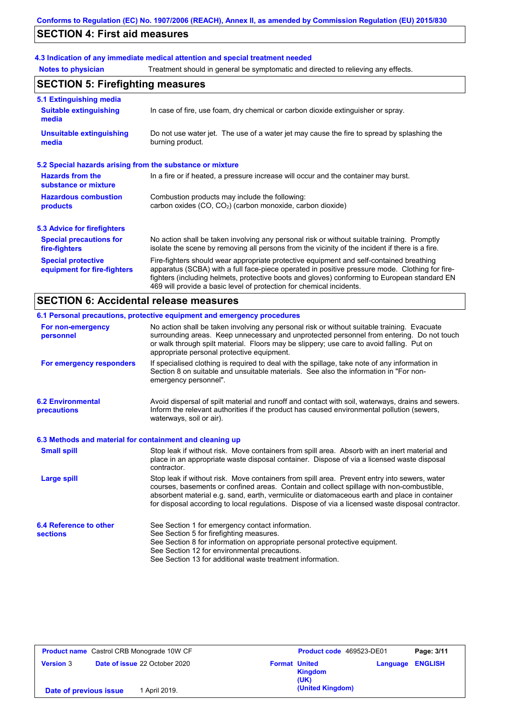# **SECTION 4: First aid measures**

## **4.3 Indication of any immediate medical attention and special treatment needed**

**Notes to physician** Treatment should in general be symptomatic and directed to relieving any effects.  $\mathbf{r}$ 

| <b>SECTION 5: Firefighting measures</b>                   |                                                                                                                                                                                                                                                                                                                                                                   |  |  |
|-----------------------------------------------------------|-------------------------------------------------------------------------------------------------------------------------------------------------------------------------------------------------------------------------------------------------------------------------------------------------------------------------------------------------------------------|--|--|
| 5.1 Extinguishing media                                   |                                                                                                                                                                                                                                                                                                                                                                   |  |  |
| <b>Suitable extinguishing</b><br>media                    | In case of fire, use foam, dry chemical or carbon dioxide extinguisher or spray.                                                                                                                                                                                                                                                                                  |  |  |
| <b>Unsuitable extinguishing</b><br>media                  | Do not use water jet. The use of a water jet may cause the fire to spread by splashing the<br>burning product.                                                                                                                                                                                                                                                    |  |  |
| 5.2 Special hazards arising from the substance or mixture |                                                                                                                                                                                                                                                                                                                                                                   |  |  |
| <b>Hazards from the</b><br>substance or mixture           | In a fire or if heated, a pressure increase will occur and the container may burst.                                                                                                                                                                                                                                                                               |  |  |
| <b>Hazardous combustion</b><br>products                   | Combustion products may include the following:<br>carbon oxides (CO, CO <sub>2</sub> ) (carbon monoxide, carbon dioxide)                                                                                                                                                                                                                                          |  |  |
| 5.3 Advice for firefighters                               |                                                                                                                                                                                                                                                                                                                                                                   |  |  |
| <b>Special precautions for</b><br>fire-fighters           | No action shall be taken involving any personal risk or without suitable training. Promptly<br>isolate the scene by removing all persons from the vicinity of the incident if there is a fire.                                                                                                                                                                    |  |  |
| <b>Special protective</b><br>equipment for fire-fighters  | Fire-fighters should wear appropriate protective equipment and self-contained breathing<br>apparatus (SCBA) with a full face-piece operated in positive pressure mode. Clothing for fire-<br>fighters (including helmets, protective boots and gloves) conforming to European standard EN<br>469 will provide a basic level of protection for chemical incidents. |  |  |

# **SECTION 6: Accidental release measures**

|                                                          | 6.1 Personal precautions, protective equipment and emergency procedures                                                                                                                                                                                                                                                                                                                        |
|----------------------------------------------------------|------------------------------------------------------------------------------------------------------------------------------------------------------------------------------------------------------------------------------------------------------------------------------------------------------------------------------------------------------------------------------------------------|
| For non-emergency<br>personnel                           | No action shall be taken involving any personal risk or without suitable training. Evacuate<br>surrounding areas. Keep unnecessary and unprotected personnel from entering. Do not touch<br>or walk through spilt material. Floors may be slippery; use care to avoid falling. Put on<br>appropriate personal protective equipment.                                                            |
| For emergency responders                                 | If specialised clothing is required to deal with the spillage, take note of any information in<br>Section 8 on suitable and unsuitable materials. See also the information in "For non-<br>emergency personnel".                                                                                                                                                                               |
| <b>6.2 Environmental</b><br>precautions                  | Avoid dispersal of spilt material and runoff and contact with soil, waterways, drains and sewers.<br>Inform the relevant authorities if the product has caused environmental pollution (sewers,<br>waterways, soil or air).                                                                                                                                                                    |
| 6.3 Methods and material for containment and cleaning up |                                                                                                                                                                                                                                                                                                                                                                                                |
| <b>Small spill</b>                                       | Stop leak if without risk. Move containers from spill area. Absorb with an inert material and<br>place in an appropriate waste disposal container. Dispose of via a licensed waste disposal<br>contractor.                                                                                                                                                                                     |
| Large spill                                              | Stop leak if without risk. Move containers from spill area. Prevent entry into sewers, water<br>courses, basements or confined areas. Contain and collect spillage with non-combustible,<br>absorbent material e.g. sand, earth, vermiculite or diatomaceous earth and place in container<br>for disposal according to local regulations. Dispose of via a licensed waste disposal contractor. |
| 6.4 Reference to other<br><b>sections</b>                | See Section 1 for emergency contact information.<br>See Section 5 for firefighting measures.<br>See Section 8 for information on appropriate personal protective equipment.<br>See Section 12 for environmental precautions.<br>See Section 13 for additional waste treatment information.                                                                                                     |

| <b>Product name</b> Castrol CRB Monograde 10W CF  | Product code 469523-DE01                       | Page: 3/11              |
|---------------------------------------------------|------------------------------------------------|-------------------------|
| Date of issue 22 October 2020<br><b>Version 3</b> | <b>Format United</b><br><b>Kingdom</b><br>(UK) | <b>Language ENGLISH</b> |
| 1 April 2019.<br>Date of previous issue           | (United Kingdom)                               |                         |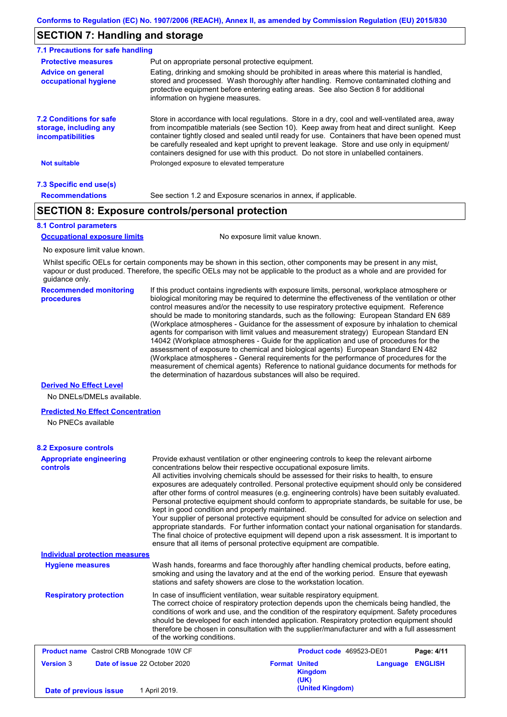## **SECTION 7: Handling and storage**

| 7.1 Precautions for safe handling                                                    |                                                                                                                                                                                                                                                                                                                                                                                                                                                                                          |
|--------------------------------------------------------------------------------------|------------------------------------------------------------------------------------------------------------------------------------------------------------------------------------------------------------------------------------------------------------------------------------------------------------------------------------------------------------------------------------------------------------------------------------------------------------------------------------------|
| <b>Protective measures</b>                                                           | Put on appropriate personal protective equipment.                                                                                                                                                                                                                                                                                                                                                                                                                                        |
| <b>Advice on general</b><br>occupational hygiene                                     | Eating, drinking and smoking should be prohibited in areas where this material is handled.<br>stored and processed. Wash thoroughly after handling. Remove contaminated clothing and<br>protective equipment before entering eating areas. See also Section 8 for additional<br>information on hygiene measures.                                                                                                                                                                         |
| <b>7.2 Conditions for safe</b><br>storage, including any<br><i>incompatibilities</i> | Store in accordance with local regulations. Store in a dry, cool and well-ventilated area, away<br>from incompatible materials (see Section 10). Keep away from heat and direct sunlight. Keep<br>container tightly closed and sealed until ready for use. Containers that have been opened must<br>be carefully resealed and kept upright to prevent leakage. Store and use only in equipment/<br>containers designed for use with this product. Do not store in unlabelled containers. |
| <b>Not suitable</b>                                                                  | Prolonged exposure to elevated temperature                                                                                                                                                                                                                                                                                                                                                                                                                                               |
| 7.3 Specific end use(s)                                                              |                                                                                                                                                                                                                                                                                                                                                                                                                                                                                          |
| <b>Recommendations</b>                                                               | See section 1.2 and Exposure scenarios in annex, if applicable.                                                                                                                                                                                                                                                                                                                                                                                                                          |

## **SECTION 8: Exposure controls/personal protection**

### **8.1 Control parameters**

**Occupational exposure limits** No exposure limit value known.

No exposure limit value known.

Whilst specific OELs for certain components may be shown in this section, other components may be present in any mist, vapour or dust produced. Therefore, the specific OELs may not be applicable to the product as a whole and are provided for guidance only.

**Recommended monitoring procedures** If this product contains ingredients with exposure limits, personal, workplace atmosphere or biological monitoring may be required to determine the effectiveness of the ventilation or other control measures and/or the necessity to use respiratory protective equipment. Reference should be made to monitoring standards, such as the following: European Standard EN 689 (Workplace atmospheres - Guidance for the assessment of exposure by inhalation to chemical agents for comparison with limit values and measurement strategy) European Standard EN 14042 (Workplace atmospheres - Guide for the application and use of procedures for the assessment of exposure to chemical and biological agents) European Standard EN 482 (Workplace atmospheres - General requirements for the performance of procedures for the measurement of chemical agents) Reference to national guidance documents for methods for the determination of hazardous substances will also be required.

## **Derived No Effect Level**

No DNELs/DMELs available.

#### **Predicted No Effect Concentration**

No PNECs available

### **8.2 Exposure controls**

| <b>Appropriate engineering</b><br><b>controls</b> | Provide exhaust ventilation or other engineering controls to keep the relevant airborne<br>concentrations below their respective occupational exposure limits.<br>All activities involving chemicals should be assessed for their risks to health, to ensure<br>exposures are adequately controlled. Personal protective equipment should only be considered<br>after other forms of control measures (e.g. engineering controls) have been suitably evaluated.<br>Personal protective equipment should conform to appropriate standards, be suitable for use, be<br>kept in good condition and properly maintained.<br>Your supplier of personal protective equipment should be consulted for advice on selection and<br>appropriate standards. For further information contact your national organisation for standards.<br>The final choice of protective equipment will depend upon a risk assessment. It is important to<br>ensure that all items of personal protective equipment are compatible. |                                                |          |                |
|---------------------------------------------------|---------------------------------------------------------------------------------------------------------------------------------------------------------------------------------------------------------------------------------------------------------------------------------------------------------------------------------------------------------------------------------------------------------------------------------------------------------------------------------------------------------------------------------------------------------------------------------------------------------------------------------------------------------------------------------------------------------------------------------------------------------------------------------------------------------------------------------------------------------------------------------------------------------------------------------------------------------------------------------------------------------|------------------------------------------------|----------|----------------|
| <b>Individual protection measures</b>             |                                                                                                                                                                                                                                                                                                                                                                                                                                                                                                                                                                                                                                                                                                                                                                                                                                                                                                                                                                                                         |                                                |          |                |
| <b>Hygiene measures</b>                           | Wash hands, forearms and face thoroughly after handling chemical products, before eating,<br>smoking and using the lavatory and at the end of the working period. Ensure that eyewash<br>stations and safety showers are close to the workstation location.                                                                                                                                                                                                                                                                                                                                                                                                                                                                                                                                                                                                                                                                                                                                             |                                                |          |                |
| <b>Respiratory protection</b>                     | In case of insufficient ventilation, wear suitable respiratory equipment.<br>The correct choice of respiratory protection depends upon the chemicals being handled, the<br>conditions of work and use, and the condition of the respiratory equipment. Safety procedures<br>should be developed for each intended application. Respiratory protection equipment should<br>therefore be chosen in consultation with the supplier/manufacturer and with a full assessment<br>of the working conditions.                                                                                                                                                                                                                                                                                                                                                                                                                                                                                                   |                                                |          |                |
| <b>Product name</b> Castrol CRB Monograde 10W CF  |                                                                                                                                                                                                                                                                                                                                                                                                                                                                                                                                                                                                                                                                                                                                                                                                                                                                                                                                                                                                         | Product code 469523-DE01                       |          | Page: 4/11     |
| <b>Version 3</b><br>Date of issue 22 October 2020 |                                                                                                                                                                                                                                                                                                                                                                                                                                                                                                                                                                                                                                                                                                                                                                                                                                                                                                                                                                                                         | <b>Format United</b><br><b>Kingdom</b><br>(UK) | Language | <b>ENGLISH</b> |
| Date of previous issue                            | 1 April 2019.                                                                                                                                                                                                                                                                                                                                                                                                                                                                                                                                                                                                                                                                                                                                                                                                                                                                                                                                                                                           | (United Kingdom)                               |          |                |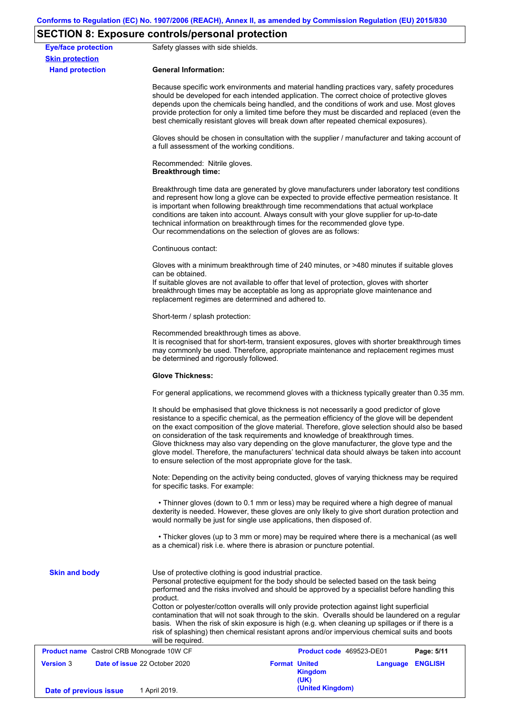# **SECTION 8: Exposure controls/personal protection**

|                                                      | $5 - 11$ . The component contribution of the control of $\alpha$                                                                                                      |                                                                                                                                                                                                                                                                                                                                                                                                                                                                                                                                                                                                                                                   |  |                         |  |  |
|------------------------------------------------------|-----------------------------------------------------------------------------------------------------------------------------------------------------------------------|---------------------------------------------------------------------------------------------------------------------------------------------------------------------------------------------------------------------------------------------------------------------------------------------------------------------------------------------------------------------------------------------------------------------------------------------------------------------------------------------------------------------------------------------------------------------------------------------------------------------------------------------------|--|-------------------------|--|--|
| <b>Eye/face protection</b><br><b>Skin protection</b> | Safety glasses with side shields.                                                                                                                                     |                                                                                                                                                                                                                                                                                                                                                                                                                                                                                                                                                                                                                                                   |  |                         |  |  |
| <b>Hand protection</b>                               | <b>General Information:</b>                                                                                                                                           |                                                                                                                                                                                                                                                                                                                                                                                                                                                                                                                                                                                                                                                   |  |                         |  |  |
|                                                      |                                                                                                                                                                       | Because specific work environments and material handling practices vary, safety procedures<br>should be developed for each intended application. The correct choice of protective gloves<br>depends upon the chemicals being handled, and the conditions of work and use. Most gloves<br>provide protection for only a limited time before they must be discarded and replaced (even the<br>best chemically resistant gloves will break down after repeated chemical exposures).                                                                                                                                                                  |  |                         |  |  |
|                                                      | a full assessment of the working conditions.                                                                                                                          | Gloves should be chosen in consultation with the supplier / manufacturer and taking account of                                                                                                                                                                                                                                                                                                                                                                                                                                                                                                                                                    |  |                         |  |  |
|                                                      | Recommended: Nitrile gloves.<br><b>Breakthrough time:</b>                                                                                                             |                                                                                                                                                                                                                                                                                                                                                                                                                                                                                                                                                                                                                                                   |  |                         |  |  |
|                                                      |                                                                                                                                                                       | Breakthrough time data are generated by glove manufacturers under laboratory test conditions<br>and represent how long a glove can be expected to provide effective permeation resistance. It<br>is important when following breakthrough time recommendations that actual workplace<br>conditions are taken into account. Always consult with your glove supplier for up-to-date<br>technical information on breakthrough times for the recommended glove type.<br>Our recommendations on the selection of gloves are as follows:                                                                                                                |  |                         |  |  |
|                                                      | Continuous contact:                                                                                                                                                   |                                                                                                                                                                                                                                                                                                                                                                                                                                                                                                                                                                                                                                                   |  |                         |  |  |
|                                                      | can be obtained.<br>replacement regimes are determined and adhered to.                                                                                                | Gloves with a minimum breakthrough time of 240 minutes, or >480 minutes if suitable gloves<br>If suitable gloves are not available to offer that level of protection, gloves with shorter<br>breakthrough times may be acceptable as long as appropriate glove maintenance and                                                                                                                                                                                                                                                                                                                                                                    |  |                         |  |  |
|                                                      | Short-term / splash protection:                                                                                                                                       |                                                                                                                                                                                                                                                                                                                                                                                                                                                                                                                                                                                                                                                   |  |                         |  |  |
|                                                      | Recommended breakthrough times as above.<br>be determined and rigorously followed.                                                                                    | It is recognised that for short-term, transient exposures, gloves with shorter breakthrough times<br>may commonly be used. Therefore, appropriate maintenance and replacement regimes must                                                                                                                                                                                                                                                                                                                                                                                                                                                        |  |                         |  |  |
|                                                      | <b>Glove Thickness:</b>                                                                                                                                               |                                                                                                                                                                                                                                                                                                                                                                                                                                                                                                                                                                                                                                                   |  |                         |  |  |
|                                                      |                                                                                                                                                                       | For general applications, we recommend gloves with a thickness typically greater than 0.35 mm.                                                                                                                                                                                                                                                                                                                                                                                                                                                                                                                                                    |  |                         |  |  |
|                                                      |                                                                                                                                                                       | It should be emphasised that glove thickness is not necessarily a good predictor of glove<br>resistance to a specific chemical, as the permeation efficiency of the glove will be dependent<br>on the exact composition of the glove material. Therefore, glove selection should also be based<br>on consideration of the task requirements and knowledge of breakthrough times.<br>Glove thickness may also vary depending on the glove manufacturer, the glove type and the<br>glove model. Therefore, the manufacturers' technical data should always be taken into account<br>to ensure selection of the most appropriate glove for the task. |  |                         |  |  |
|                                                      | for specific tasks. For example:                                                                                                                                      | Note: Depending on the activity being conducted, gloves of varying thickness may be required                                                                                                                                                                                                                                                                                                                                                                                                                                                                                                                                                      |  |                         |  |  |
|                                                      |                                                                                                                                                                       | • Thinner gloves (down to 0.1 mm or less) may be required where a high degree of manual<br>dexterity is needed. However, these gloves are only likely to give short duration protection and<br>would normally be just for single use applications, then disposed of.                                                                                                                                                                                                                                                                                                                                                                              |  |                         |  |  |
|                                                      | • Thicker gloves (up to 3 mm or more) may be required where there is a mechanical (as well<br>as a chemical) risk i.e. where there is abrasion or puncture potential. |                                                                                                                                                                                                                                                                                                                                                                                                                                                                                                                                                                                                                                                   |  |                         |  |  |
| <b>Skin and body</b>                                 | Use of protective clothing is good industrial practice.<br>product.                                                                                                   | Personal protective equipment for the body should be selected based on the task being<br>performed and the risks involved and should be approved by a specialist before handling this<br>Cotton or polyester/cotton overalls will only provide protection against light superficial<br>contamination that will not soak through to the skin. Overalls should be laundered on a regular<br>basis. When the risk of skin exposure is high (e.g. when cleaning up spillages or if there is a                                                                                                                                                         |  |                         |  |  |
|                                                      | will be required.                                                                                                                                                     | risk of splashing) then chemical resistant aprons and/or impervious chemical suits and boots                                                                                                                                                                                                                                                                                                                                                                                                                                                                                                                                                      |  |                         |  |  |
| <b>Product name</b> Castrol CRB Monograde 10W CF     |                                                                                                                                                                       | Product code 469523-DE01                                                                                                                                                                                                                                                                                                                                                                                                                                                                                                                                                                                                                          |  | Page: 5/11              |  |  |
| <b>Version 3</b>                                     | Date of issue 22 October 2020                                                                                                                                         | <b>Format United</b><br><b>Kingdom</b><br>(UK)                                                                                                                                                                                                                                                                                                                                                                                                                                                                                                                                                                                                    |  | <b>Language ENGLISH</b> |  |  |
| Date of previous issue                               | 1 April 2019.                                                                                                                                                         | (United Kingdom)                                                                                                                                                                                                                                                                                                                                                                                                                                                                                                                                                                                                                                  |  |                         |  |  |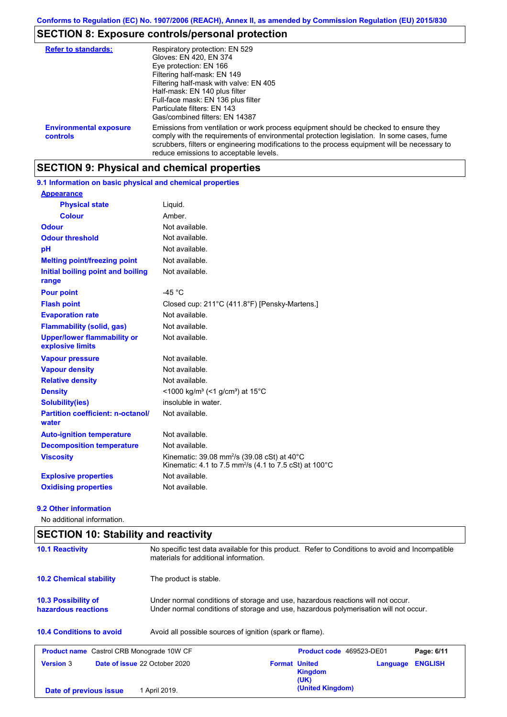# **SECTION 8: Exposure controls/personal protection**

| <b>Refer to standards:</b>                | Respiratory protection: EN 529<br>Gloves: EN 420, EN 374<br>Eye protection: EN 166<br>Filtering half-mask: EN 149<br>Filtering half-mask with valve: EN 405<br>Half-mask: EN 140 plus filter<br>Full-face mask: EN 136 plus filter<br>Particulate filters: EN 143<br>Gas/combined filters: EN 14387                           |
|-------------------------------------------|-------------------------------------------------------------------------------------------------------------------------------------------------------------------------------------------------------------------------------------------------------------------------------------------------------------------------------|
| <b>Environmental exposure</b><br>controls | Emissions from ventilation or work process equipment should be checked to ensure they<br>comply with the requirements of environmental protection legislation. In some cases, fume<br>scrubbers, filters or engineering modifications to the process equipment will be necessary to<br>reduce emissions to acceptable levels. |

# **SECTION 9: Physical and chemical properties**

**9.1 Information on basic physical and chemical properties**

| <b>Appearance</b>                                      |                                                                                                                                                    |
|--------------------------------------------------------|----------------------------------------------------------------------------------------------------------------------------------------------------|
| <b>Physical state</b>                                  | Liquid.                                                                                                                                            |
| <b>Colour</b>                                          | Amber.                                                                                                                                             |
| <b>Odour</b>                                           | Not available.                                                                                                                                     |
| <b>Odour threshold</b>                                 | Not available.                                                                                                                                     |
| pH                                                     | Not available.                                                                                                                                     |
| <b>Melting point/freezing point</b>                    | Not available.                                                                                                                                     |
| Initial boiling point and boiling<br>range             | Not available.                                                                                                                                     |
| <b>Pour point</b>                                      | $-45 °C$                                                                                                                                           |
| <b>Flash point</b>                                     | Closed cup: 211°C (411.8°F) [Pensky-Martens.]                                                                                                      |
| <b>Evaporation rate</b>                                | Not available.                                                                                                                                     |
| <b>Flammability (solid, gas)</b>                       | Not available.                                                                                                                                     |
| <b>Upper/lower flammability or</b><br>explosive limits | Not available.                                                                                                                                     |
| <b>Vapour pressure</b>                                 | Not available.                                                                                                                                     |
| <b>Vapour density</b>                                  | Not available.                                                                                                                                     |
| <b>Relative density</b>                                | Not available.                                                                                                                                     |
| <b>Density</b>                                         | <1000 kg/m <sup>3</sup> (<1 g/cm <sup>3</sup> ) at 15 <sup>°</sup> C                                                                               |
| <b>Solubility(ies)</b>                                 | insoluble in water.                                                                                                                                |
| <b>Partition coefficient: n-octanol/</b><br>water      | Not available.                                                                                                                                     |
| <b>Auto-ignition temperature</b>                       | Not available.                                                                                                                                     |
| <b>Decomposition temperature</b>                       | Not available.                                                                                                                                     |
| <b>Viscosity</b>                                       | Kinematic: 39.08 mm <sup>2</sup> /s (39.08 cSt) at $40^{\circ}$ C<br>Kinematic: 4.1 to 7.5 mm <sup>2</sup> /s (4.1 to 7.5 cSt) at 100 $^{\circ}$ C |
| <b>Explosive properties</b>                            | Not available.                                                                                                                                     |
| <b>Oxidising properties</b>                            | Not available.                                                                                                                                     |

## **9.2 Other information**

No additional information.

| <b>SECTION 10: Stability and reactivity</b>       |                                                                                                                                                                         |                      |                                 |          |                |
|---------------------------------------------------|-------------------------------------------------------------------------------------------------------------------------------------------------------------------------|----------------------|---------------------------------|----------|----------------|
| <b>10.1 Reactivity</b>                            | No specific test data available for this product. Refer to Conditions to avoid and Incompatible<br>materials for additional information.                                |                      |                                 |          |                |
| <b>10.2 Chemical stability</b>                    | The product is stable.                                                                                                                                                  |                      |                                 |          |                |
| <b>10.3 Possibility of</b><br>hazardous reactions | Under normal conditions of storage and use, hazardous reactions will not occur.<br>Under normal conditions of storage and use, hazardous polymerisation will not occur. |                      |                                 |          |                |
| <b>10.4 Conditions to avoid</b>                   | Avoid all possible sources of ignition (spark or flame).                                                                                                                |                      |                                 |          |                |
| <b>Product name</b> Castrol CRB Monograde 10W CF  |                                                                                                                                                                         |                      | <b>Product code</b> 469523-DE01 |          | Page: 6/11     |
| <b>Version 3</b>                                  | Date of issue 22 October 2020                                                                                                                                           | <b>Format United</b> | Kingdom<br>(UK)                 | Language | <b>ENGLISH</b> |
| Date of previous issue                            | 1 April 2019.                                                                                                                                                           |                      | (United Kingdom)                |          |                |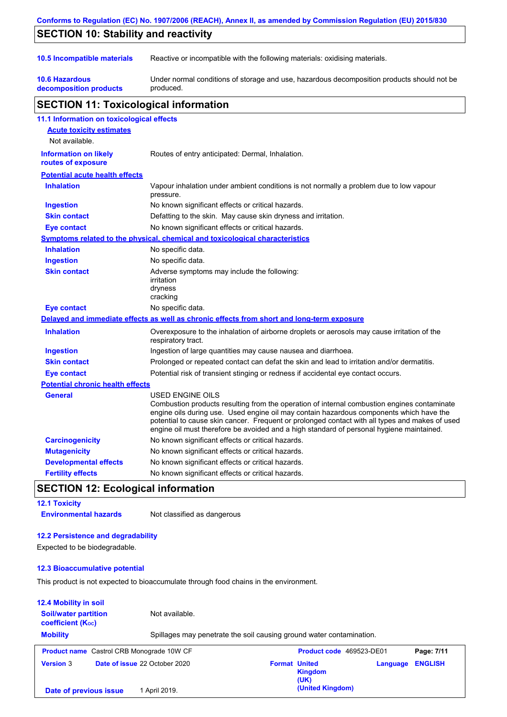|                                                    | Conforms to Regulation (EC) No. 1907/2006 (REACH), Annex II, as amended by Commission Regulation (EU) 2015/830                                                                                                                                                                                                                                                                                           |
|----------------------------------------------------|----------------------------------------------------------------------------------------------------------------------------------------------------------------------------------------------------------------------------------------------------------------------------------------------------------------------------------------------------------------------------------------------------------|
| <b>SECTION 10: Stability and reactivity</b>        |                                                                                                                                                                                                                                                                                                                                                                                                          |
| 10.5 Incompatible materials                        | Reactive or incompatible with the following materials: oxidising materials.                                                                                                                                                                                                                                                                                                                              |
| <b>10.6 Hazardous</b><br>decomposition products    | Under normal conditions of storage and use, hazardous decomposition products should not be<br>produced.                                                                                                                                                                                                                                                                                                  |
| <b>SECTION 11: Toxicological information</b>       |                                                                                                                                                                                                                                                                                                                                                                                                          |
| 11.1 Information on toxicological effects          |                                                                                                                                                                                                                                                                                                                                                                                                          |
| <b>Acute toxicity estimates</b>                    |                                                                                                                                                                                                                                                                                                                                                                                                          |
| Not available.                                     |                                                                                                                                                                                                                                                                                                                                                                                                          |
| <b>Information on likely</b><br>routes of exposure | Routes of entry anticipated: Dermal, Inhalation.                                                                                                                                                                                                                                                                                                                                                         |
| <b>Potential acute health effects</b>              |                                                                                                                                                                                                                                                                                                                                                                                                          |
| <b>Inhalation</b>                                  | Vapour inhalation under ambient conditions is not normally a problem due to low vapour<br>pressure.                                                                                                                                                                                                                                                                                                      |
| <b>Ingestion</b>                                   | No known significant effects or critical hazards.                                                                                                                                                                                                                                                                                                                                                        |
| <b>Skin contact</b>                                | Defatting to the skin. May cause skin dryness and irritation.                                                                                                                                                                                                                                                                                                                                            |
| <b>Eye contact</b>                                 | No known significant effects or critical hazards.                                                                                                                                                                                                                                                                                                                                                        |
|                                                    | Symptoms related to the physical, chemical and toxicological characteristics                                                                                                                                                                                                                                                                                                                             |
| <b>Inhalation</b>                                  | No specific data.                                                                                                                                                                                                                                                                                                                                                                                        |
| <b>Ingestion</b>                                   | No specific data.                                                                                                                                                                                                                                                                                                                                                                                        |
| <b>Skin contact</b>                                | Adverse symptoms may include the following:<br>irritation<br>dryness<br>cracking                                                                                                                                                                                                                                                                                                                         |
| <b>Eye contact</b>                                 | No specific data.                                                                                                                                                                                                                                                                                                                                                                                        |
|                                                    | Delayed and immediate effects as well as chronic effects from short and long-term exposure                                                                                                                                                                                                                                                                                                               |
| <b>Inhalation</b>                                  | Overexposure to the inhalation of airborne droplets or aerosols may cause irritation of the<br>respiratory tract.                                                                                                                                                                                                                                                                                        |
| <b>Ingestion</b>                                   | Ingestion of large quantities may cause nausea and diarrhoea.                                                                                                                                                                                                                                                                                                                                            |
| <b>Skin contact</b>                                | Prolonged or repeated contact can defat the skin and lead to irritation and/or dermatitis.                                                                                                                                                                                                                                                                                                               |
| <b>Eye contact</b>                                 | Potential risk of transient stinging or redness if accidental eye contact occurs.                                                                                                                                                                                                                                                                                                                        |
| <b>Potential chronic health effects</b>            |                                                                                                                                                                                                                                                                                                                                                                                                          |
| General                                            | USED ENGINE OILS<br>Combustion products resulting from the operation of internal combustion engines contaminate<br>engine oils during use. Used engine oil may contain hazardous components which have the<br>potential to cause skin cancer. Frequent or prolonged contact with all types and makes of used<br>engine oil must therefore be avoided and a high standard of personal hygiene maintained. |
| <b>Carcinogenicity</b>                             | No known significant effects or critical hazards.                                                                                                                                                                                                                                                                                                                                                        |
| <b>Mutagenicity</b>                                | No known significant effects or critical hazards.                                                                                                                                                                                                                                                                                                                                                        |
| <b>Developmental effects</b>                       | No known significant effects or critical hazards.                                                                                                                                                                                                                                                                                                                                                        |
| <b>Fertility effects</b>                           | No known significant effects or critical hazards.                                                                                                                                                                                                                                                                                                                                                        |

## **SECTION 12: Ecological information**

**12.1 Toxicity Environmental hazards** Not classified as dangerous

## **12.2 Persistence and degradability**

Expected to be biodegradable.

## **12.3 Bioaccumulative potential**

This product is not expected to bioaccumulate through food chains in the environment.

## **12.4 Mobility in soil**

| <b>Soil/water partition</b><br><b>coefficient (Koc)</b> | Not available.                                   |                                                                              |
|---------------------------------------------------------|--------------------------------------------------|------------------------------------------------------------------------------|
| <b>Mobility</b>                                         |                                                  | Spillages may penetrate the soil causing ground water contamination.         |
|                                                         | <b>Product name</b> Castrol CRB Monograde 10W CF | <b>Product code</b> 469523-DE01<br>Page: 7/11                                |
| <b>Version 3</b>                                        | Date of issue 22 October 2020                    | <b>ENGLISH</b><br><b>Format United</b><br>Language<br><b>Kingdom</b><br>(UK) |
| Date of previous issue                                  | 1 April 2019.                                    | (United Kingdom)                                                             |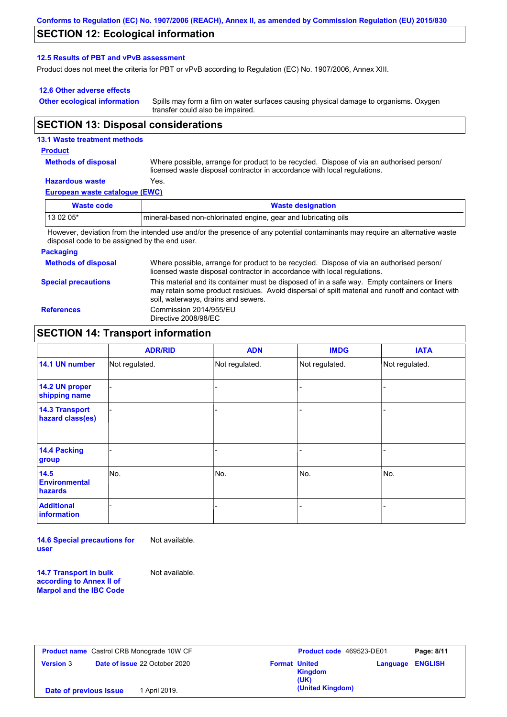## **SECTION 12: Ecological information**

### **12.5 Results of PBT and vPvB assessment**

Product does not meet the criteria for PBT or vPvB according to Regulation (EC) No. 1907/2006, Annex XIII.

### **12.6 Other adverse effects**

**Other ecological information**

Spills may form a film on water surfaces causing physical damage to organisms. Oxygen transfer could also be impaired.

## **SECTION 13: Disposal considerations**

## **13.1 Waste treatment methods**

#### **Product**

**Methods of disposal**

Where possible, arrange for product to be recycled. Dispose of via an authorised person/ licensed waste disposal contractor in accordance with local regulations.

# **Hazardous waste** Yes.

|  | European waste catalogue (EWC) |  |
|--|--------------------------------|--|
|  |                                |  |

| Waste code | <b>Waste designation</b>                                                                                                     |  |  |
|------------|------------------------------------------------------------------------------------------------------------------------------|--|--|
| $130205*$  | mineral-based non-chlorinated engine, gear and lubricating oils                                                              |  |  |
|            | However, deviation from the intended use and/or the presence of any patential contaminante move require an elternative worte |  |  |

However, deviation from the intended use and/or the presence of any potential contaminants may require an alternative waste disposal code to be assigned by the end user.

### **Packaging**

**Methods of disposal Special precautions** Where possible, arrange for product to be recycled. Dispose of via an authorised person/ licensed waste disposal contractor in accordance with local regulations. This material and its container must be disposed of in a safe way. Empty containers or liners may retain some product residues. Avoid dispersal of spilt material and runoff and contact with soil, waterways, drains and sewers. **References** Commission 2014/955/EU Directive 2008/98/EC

## **SECTION 14: Transport information**

|                                           | <b>ADR/RID</b> | <b>ADN</b>     | <b>IMDG</b>    | <b>IATA</b>    |
|-------------------------------------------|----------------|----------------|----------------|----------------|
| 14.1 UN number                            | Not regulated. | Not regulated. | Not regulated. | Not regulated. |
| 14.2 UN proper<br>shipping name           |                |                |                |                |
| <b>14.3 Transport</b><br>hazard class(es) |                |                | ۰              |                |
| 14.4 Packing<br>group                     |                |                | -              |                |
| 14.5<br><b>Environmental</b><br>hazards   | INo.           | No.            | No.            | No.            |
| <b>Additional</b><br>information          |                |                | -              |                |

**14.6 Special precautions for user** Not available.

**14.7 Transport in bulk according to Annex II of Marpol and the IBC Code** Not available.

| <b>Product name</b> Castrol CRB Monograde 10W CF |                                      | Product code 469523-DE01                | Page: 8/11                 |
|--------------------------------------------------|--------------------------------------|-----------------------------------------|----------------------------|
| <b>Version 3</b>                                 | <b>Date of issue 22 October 2020</b> | <b>Format United</b><br>Kingdom<br>(UK) | <b>ENGLISH</b><br>Language |
| Date of previous issue                           | 1 April 2019.                        | (United Kingdom)                        |                            |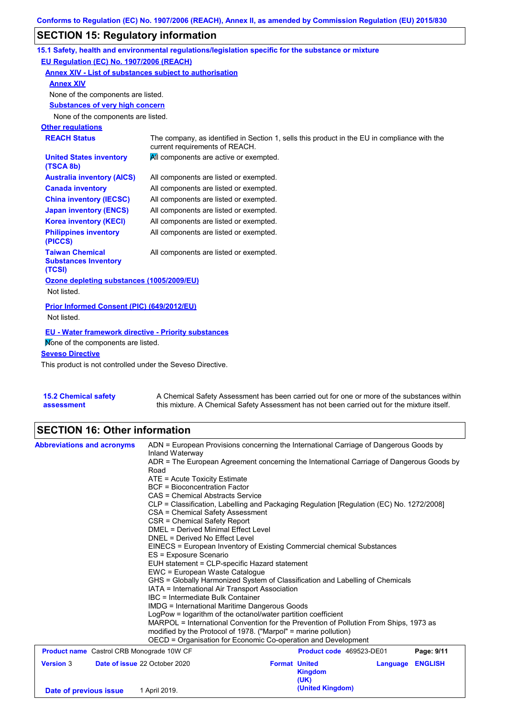# **SECTION 15: Regulatory information**

|                                                                                                   | 15.1 Safety, health and environmental regulations/legislation specific for the substance or mixture                            |
|---------------------------------------------------------------------------------------------------|--------------------------------------------------------------------------------------------------------------------------------|
| EU Regulation (EC) No. 1907/2006 (REACH)                                                          |                                                                                                                                |
| Annex XIV - List of substances subject to authorisation                                           |                                                                                                                                |
| <b>Annex XIV</b>                                                                                  |                                                                                                                                |
| None of the components are listed.                                                                |                                                                                                                                |
| <b>Substances of very high concern</b>                                                            |                                                                                                                                |
| None of the components are listed.                                                                |                                                                                                                                |
| <b>Other regulations</b>                                                                          |                                                                                                                                |
| <b>REACH Status</b>                                                                               | The company, as identified in Section 1, sells this product in the EU in compliance with the<br>current requirements of REACH. |
| <b>United States inventory</b><br>(TSCA 8b)                                                       | All components are active or exempted.                                                                                         |
| <b>Australia inventory (AICS)</b>                                                                 | All components are listed or exempted.                                                                                         |
| <b>Canada inventory</b>                                                                           | All components are listed or exempted.                                                                                         |
| <b>China inventory (IECSC)</b>                                                                    | All components are listed or exempted.                                                                                         |
| <b>Japan inventory (ENCS)</b>                                                                     | All components are listed or exempted.                                                                                         |
| <b>Korea inventory (KECI)</b>                                                                     | All components are listed or exempted.                                                                                         |
| <b>Philippines inventory</b><br>(PICCS)                                                           | All components are listed or exempted.                                                                                         |
| <b>Taiwan Chemical</b><br><b>Substances Inventory</b><br>(TCSI)                                   | All components are listed or exempted.                                                                                         |
| Ozone depleting substances (1005/2009/EU)<br>Not listed.                                          |                                                                                                                                |
| Prior Informed Consent (PIC) (649/2012/EU)<br>Not listed.                                         |                                                                                                                                |
| <b>EU - Water framework directive - Priority substances</b><br>Mone of the components are listed. |                                                                                                                                |
| <b>Seveso Directive</b>                                                                           |                                                                                                                                |
| This product is not controlled under the Seveso Directive.                                        |                                                                                                                                |
|                                                                                                   |                                                                                                                                |

| <b>15.2 Chemical safety</b> | A Chemical Safety Assessment has been carried out for one or more of the substances within  |
|-----------------------------|---------------------------------------------------------------------------------------------|
| assessment                  | this mixture. A Chemical Safety Assessment has not been carried out for the mixture itself. |

# **SECTION 16: Other information**

| Date of previous issue                           |                                                                                                                                                                           | 1 April 2019.                                                                                                                                                                                                                                                                  |                                                                                                                                                                                                                                                                                                                                                                                                                                                                                                                                                                                                                                                                                                       | <b>Kingdom</b><br>(UK)<br>(United Kingdom) |          |                |
|--------------------------------------------------|---------------------------------------------------------------------------------------------------------------------------------------------------------------------------|--------------------------------------------------------------------------------------------------------------------------------------------------------------------------------------------------------------------------------------------------------------------------------|-------------------------------------------------------------------------------------------------------------------------------------------------------------------------------------------------------------------------------------------------------------------------------------------------------------------------------------------------------------------------------------------------------------------------------------------------------------------------------------------------------------------------------------------------------------------------------------------------------------------------------------------------------------------------------------------------------|--------------------------------------------|----------|----------------|
| <b>Version 3</b>                                 |                                                                                                                                                                           | Date of issue 22 October 2020                                                                                                                                                                                                                                                  | <b>Format United</b>                                                                                                                                                                                                                                                                                                                                                                                                                                                                                                                                                                                                                                                                                  |                                            | Language | <b>ENGLISH</b> |
| <b>Product name</b> Castrol CRB Monograde 10W CF |                                                                                                                                                                           |                                                                                                                                                                                                                                                                                |                                                                                                                                                                                                                                                                                                                                                                                                                                                                                                                                                                                                                                                                                                       | Product code 469523-DE01                   |          | Page: 9/11     |
|                                                  |                                                                                                                                                                           | CAS = Chemical Abstracts Service<br>CSA = Chemical Safety Assessment<br>CSR = Chemical Safety Report<br>DMEL = Derived Minimal Effect Level<br>DNEL = Derived No Effect Level<br>ES = Exposure Scenario<br>EWC = European Waste Catalogue<br>IBC = Intermediate Bulk Container | CLP = Classification, Labelling and Packaging Regulation [Regulation (EC) No. 1272/2008]<br>EINECS = European Inventory of Existing Commercial chemical Substances<br>EUH statement = CLP-specific Hazard statement<br>GHS = Globally Harmonized System of Classification and Labelling of Chemicals<br>IATA = International Air Transport Association<br>IMDG = International Maritime Dangerous Goods<br>LogPow = logarithm of the octanol/water partition coefficient<br>MARPOL = International Convention for the Prevention of Pollution From Ships, 1973 as<br>modified by the Protocol of 1978. ("Marpol" = marine pollution)<br>OECD = Organisation for Economic Co-operation and Development |                                            |          |                |
|                                                  | ADR = The European Agreement concerning the International Carriage of Dangerous Goods by<br>Road<br>ATE = Acute Toxicity Estimate<br><b>BCF</b> = Bioconcentration Factor |                                                                                                                                                                                                                                                                                |                                                                                                                                                                                                                                                                                                                                                                                                                                                                                                                                                                                                                                                                                                       |                                            |          |                |
| <b>Abbreviations and acronyms</b>                |                                                                                                                                                                           | ADN = European Provisions concerning the International Carriage of Dangerous Goods by<br>Inland Waterway                                                                                                                                                                       |                                                                                                                                                                                                                                                                                                                                                                                                                                                                                                                                                                                                                                                                                                       |                                            |          |                |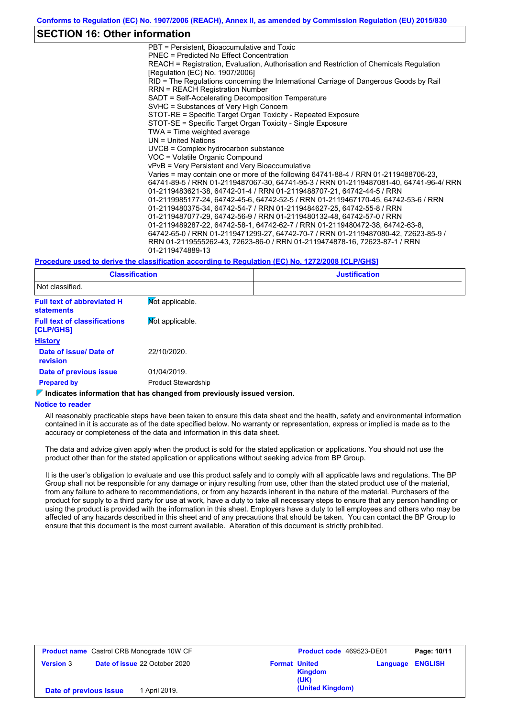## **SECTION 16: Other information**

PBT = Persistent, Bioaccumulative and Toxic PNEC = Predicted No Effect Concentration REACH = Registration, Evaluation, Authorisation and Restriction of Chemicals Regulation [Regulation (EC) No. 1907/2006] RID = The Regulations concerning the International Carriage of Dangerous Goods by Rail RRN = REACH Registration Number SADT = Self-Accelerating Decomposition Temperature SVHC = Substances of Very High Concern STOT-RE = Specific Target Organ Toxicity - Repeated Exposure STOT-SE = Specific Target Organ Toxicity - Single Exposure TWA = Time weighted average UN = United Nations UVCB = Complex hydrocarbon substance VOC = Volatile Organic Compound vPvB = Very Persistent and Very Bioaccumulative Varies = may contain one or more of the following 64741-88-4 / RRN 01-2119488706-23, 64741-89-5 / RRN 01-2119487067-30, 64741-95-3 / RRN 01-2119487081-40, 64741-96-4/ RRN 01-2119483621-38, 64742-01-4 / RRN 01-2119488707-21, 64742-44-5 / RRN 01-2119985177-24, 64742-45-6, 64742-52-5 / RRN 01-2119467170-45, 64742-53-6 / RRN 01-2119480375-34, 64742-54-7 / RRN 01-2119484627-25, 64742-55-8 / RRN 01-2119487077-29, 64742-56-9 / RRN 01-2119480132-48, 64742-57-0 / RRN 01-2119489287-22, 64742-58-1, 64742-62-7 / RRN 01-2119480472-38, 64742-63-8, 64742-65-0 / RRN 01-2119471299-27, 64742-70-7 / RRN 01-2119487080-42, 72623-85-9 / RRN 01-2119555262-43, 72623-86-0 / RRN 01-2119474878-16, 72623-87-1 / RRN 01-2119474889-13

#### **Procedure used to derive the classification according to Regulation (EC) No. 1272/2008 [CLP/GHS]**

| <b>Classification</b>                                  |                            | <b>Justification</b> |
|--------------------------------------------------------|----------------------------|----------------------|
| Not classified.                                        |                            |                      |
| <b>Full text of abbreviated H</b><br><b>statements</b> | Mot applicable.            |                      |
| <b>Full text of classifications</b><br>[CLP/GHS]       | Mot applicable.            |                      |
| <b>History</b>                                         |                            |                      |
| Date of issue/ Date of<br><b>revision</b>              | 22/10/2020.                |                      |
| Date of previous issue                                 | 01/04/2019.                |                      |
| <b>Prepared by</b>                                     | <b>Product Stewardship</b> |                      |

### **Indicates information that has changed from previously issued version.**

#### **Notice to reader**

All reasonably practicable steps have been taken to ensure this data sheet and the health, safety and environmental information contained in it is accurate as of the date specified below. No warranty or representation, express or implied is made as to the accuracy or completeness of the data and information in this data sheet.

The data and advice given apply when the product is sold for the stated application or applications. You should not use the product other than for the stated application or applications without seeking advice from BP Group.

It is the user's obligation to evaluate and use this product safely and to comply with all applicable laws and regulations. The BP Group shall not be responsible for any damage or injury resulting from use, other than the stated product use of the material, from any failure to adhere to recommendations, or from any hazards inherent in the nature of the material. Purchasers of the product for supply to a third party for use at work, have a duty to take all necessary steps to ensure that any person handling or using the product is provided with the information in this sheet. Employers have a duty to tell employees and others who may be affected of any hazards described in this sheet and of any precautions that should be taken. You can contact the BP Group to ensure that this document is the most current available. Alteration of this document is strictly prohibited.

| <b>Product name</b> Castrol CRB Monograde 10W CF |                                      | <b>Product code</b> 469523-DE01 |                        | Page: 10/11 |                |
|--------------------------------------------------|--------------------------------------|---------------------------------|------------------------|-------------|----------------|
| <b>Version 3</b>                                 | <b>Date of issue 22 October 2020</b> | <b>Format United</b>            | <b>Kingdom</b><br>(UK) | Language    | <b>ENGLISH</b> |
| Date of previous issue                           | 1 April 2019.                        |                                 | (United Kingdom)       |             |                |